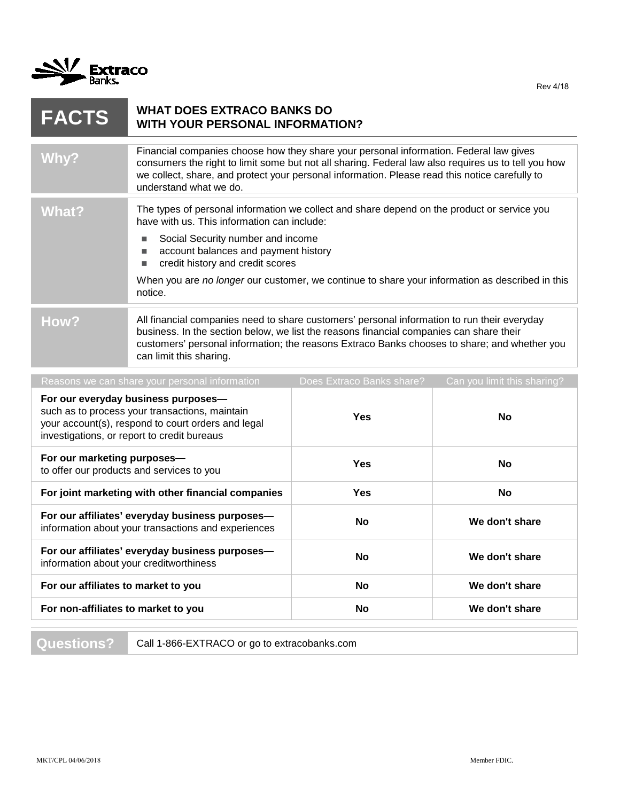

| <b>FACTS</b>                                                                                                                                                                               | <b>WHAT DOES EXTRACO BANKS DO</b><br><b>WITH YOUR PERSONAL INFORMATION?</b>                                                                                                                                                                                                                                               |                           |                             |
|--------------------------------------------------------------------------------------------------------------------------------------------------------------------------------------------|---------------------------------------------------------------------------------------------------------------------------------------------------------------------------------------------------------------------------------------------------------------------------------------------------------------------------|---------------------------|-----------------------------|
| Why?                                                                                                                                                                                       | Financial companies choose how they share your personal information. Federal law gives<br>consumers the right to limit some but not all sharing. Federal law also requires us to tell you how<br>we collect, share, and protect your personal information. Please read this notice carefully to<br>understand what we do. |                           |                             |
| <b>What?</b>                                                                                                                                                                               | The types of personal information we collect and share depend on the product or service you<br>have with us. This information can include:                                                                                                                                                                                |                           |                             |
|                                                                                                                                                                                            | Social Security number and income<br>п<br>account balances and payment history<br>$\blacksquare$<br>credit history and credit scores<br>$\blacksquare$                                                                                                                                                                    |                           |                             |
|                                                                                                                                                                                            | When you are no longer our customer, we continue to share your information as described in this<br>notice.                                                                                                                                                                                                                |                           |                             |
| How?                                                                                                                                                                                       | All financial companies need to share customers' personal information to run their everyday<br>business. In the section below, we list the reasons financial companies can share their<br>customers' personal information; the reasons Extraco Banks chooses to share; and whether you<br>can limit this sharing.         |                           |                             |
|                                                                                                                                                                                            | Reasons we can share your personal information                                                                                                                                                                                                                                                                            | Does Extraco Banks share? | Can you limit this sharing? |
| For our everyday business purposes-<br>such as to process your transactions, maintain<br>your account(s), respond to court orders and legal<br>investigations, or report to credit bureaus |                                                                                                                                                                                                                                                                                                                           | <b>Yes</b>                | No                          |
| For our marketing purposes-<br>to offer our products and services to you                                                                                                                   |                                                                                                                                                                                                                                                                                                                           | <b>Yes</b>                | No                          |
| For joint marketing with other financial companies                                                                                                                                         |                                                                                                                                                                                                                                                                                                                           | Yes                       | No                          |
| For our affiliates' everyday business purposes-<br>information about your transactions and experiences                                                                                     |                                                                                                                                                                                                                                                                                                                           | No                        | We don't share              |
| For our affiliates' everyday business purposes-<br>information about your creditworthiness                                                                                                 |                                                                                                                                                                                                                                                                                                                           | No                        | We don't share              |
| For our affiliates to market to you                                                                                                                                                        |                                                                                                                                                                                                                                                                                                                           | <b>No</b>                 | We don't share              |
| For non-affiliates to market to you                                                                                                                                                        |                                                                                                                                                                                                                                                                                                                           | No                        | We don't share              |

Questions? Call 1-866-EXTRACO or go to extracobanks.com